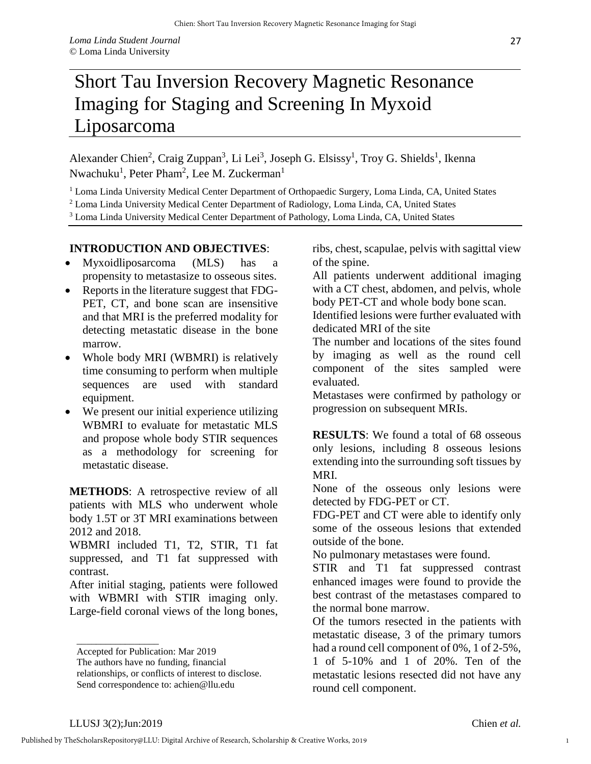## Liposarcoma

Alexander Chien<sup>2</sup>, Craig Zuppan<sup>3</sup>, Li Lei<sup>3</sup>, Joseph G. Elsissy<sup>1</sup>, Troy G. Shields<sup>1</sup>, Ikenna Nwachuku<sup>1</sup>, Peter Pham<sup>2</sup>, Lee M. Zuckerman<sup>1</sup>

<sup>1</sup> Loma Linda University Medical Center Department of Orthopaedic Surgery, Loma Linda, CA, United States

- <sup>2</sup> Loma Linda University Medical Center Department of Radiology, Loma Linda, CA, United States
- <sup>3</sup> Loma Linda University Medical Center Department of Pathology, Loma Linda, CA, United States

## **INTRODUCTION AND OBJECTIVES**:

- Myxoidliposarcoma (MLS) has a propensity to metastasize to osseous sites.
- Reports in the literature suggest that FDG-PET, CT, and bone scan are insensitive and that MRI is the preferred modality for detecting metastatic disease in the bone marrow.
- Whole body MRI (WBMRI) is relatively time consuming to perform when multiple sequences are used with standard equipment.
- We present our initial experience utilizing WBMRI to evaluate for metastatic MLS and propose whole body STIR sequences as a methodology for screening for metastatic disease.

**METHODS**: A retrospective review of all patients with MLS who underwent whole body 1.5T or 3T MRI examinations between 2012 and 2018.

WBMRI included T1, T2, STIR, T1 fat suppressed, and T1 fat suppressed with contrast.

After initial staging, patients were followed with WBMRI with STIR imaging only. Large-field coronal views of the long bones,

relationships, or conflicts of interest to disclose. Send correspondence to: achien@llu.edu

ribs, chest, scapulae, pelvis with sagittal view of the spine.

27

All patients underwent additional imaging with a CT chest, abdomen, and pelvis, whole body PET-CT and whole body bone scan.

Identified lesions were further evaluated with dedicated MRI of the site

The number and locations of the sites found by imaging as well as the round cell component of the sites sampled were evaluated.

Metastases were confirmed by pathology or progression on subsequent MRIs.

**RESULTS**: We found a total of 68 osseous only lesions, including 8 osseous lesions extending into the surrounding soft tissues by MRI.

None of the osseous only lesions were detected by FDG-PET or CT.

FDG-PET and CT were able to identify only some of the osseous lesions that extended outside of the bone.

No pulmonary metastases were found.

STIR and T1 fat suppressed contrast enhanced images were found to provide the best contrast of the metastases compared to the normal bone marrow.

Of the tumors resected in the patients with metastatic disease, 3 of the primary tumors had a round cell component of 0%, 1 of 2-5%, 1 of 5-10% and 1 of 20%. Ten of the metastatic lesions resected did not have any round cell component.

\_\_\_\_\_\_\_\_\_\_\_\_\_\_\_\_\_

Accepted for Publication: Mar 2019

The authors have no funding, financial